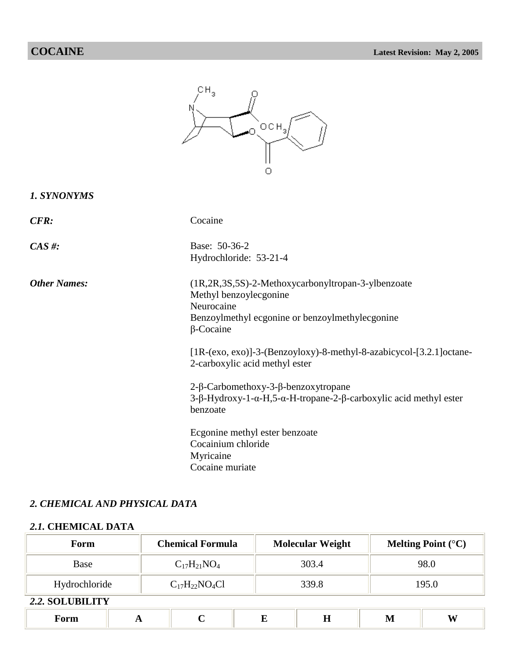|                     | $\mathbb{C} \, \mathsf{H}_3$<br>OCH <sub>3</sub>                                                                                                                  |
|---------------------|-------------------------------------------------------------------------------------------------------------------------------------------------------------------|
| 1. SYNONYMS         |                                                                                                                                                                   |
| <b>CFR:</b>         | Cocaine                                                                                                                                                           |
| $CAS \#$ :          | Base: 50-36-2<br>Hydrochloride: 53-21-4                                                                                                                           |
| <b>Other Names:</b> | (1R,2R,3S,5S)-2-Methoxycarbonyltropan-3-ylbenzoate<br>Methyl benzoylecgonine<br>Neurocaine<br>Benzoylmethyl ecgonine or benzoylmethylecgonine<br>$\beta$ -Cocaine |
|                     | [1R-(exo, exo)]-3-(Benzoyloxy)-8-methyl-8-azabicycol-[3.2.1] octane-<br>2-carboxylic acid methyl ester                                                            |
|                     | 2-β-Carbomethoxy-3-β-benzoxytropane<br>3-β-Hydroxy-1-α-H,5-α-H-tropane-2-β-carboxylic acid methyl ester<br>benzoate                                               |
|                     | Ecgonine methyl ester benzoate<br>Cocainium chloride<br>Myricaine<br>Cocaine muriate                                                                              |

## *2. CHEMICAL AND PHYSICAL DATA*

## *2.1.* **CHEMICAL DATA**

| Form            |   | <b>Chemical Formula</b> |  | <b>Molecular Weight</b> |         |   | Melting Point $(^{\circ}C)$ |  |
|-----------------|---|-------------------------|--|-------------------------|---------|---|-----------------------------|--|
| Base            |   | $C_{17}H_{21}NO_4$      |  | 303.4                   |         |   | 98.0                        |  |
| Hydrochloride   |   | $C_{17}H_{22}NO_4Cl$    |  | 339.8                   |         |   | 195.0                       |  |
| 2.2. SOLUBILITY |   |                         |  |                         |         |   |                             |  |
| Form            | A | C                       |  | E                       | $\bf H$ | M | W                           |  |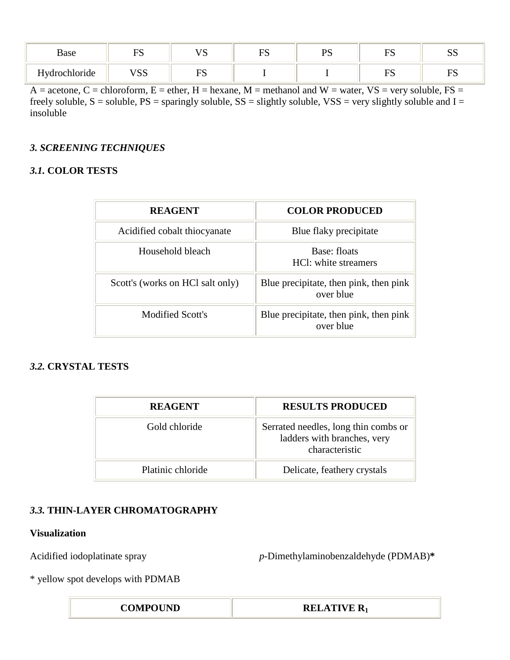| Base                                         | mс<br>$\sim$ $\sim$ | 17 U      | $\Gamma$<br>* r | nс | $\mathbf{r}$ | oα<br>ນມ  |
|----------------------------------------------|---------------------|-----------|-----------------|----|--------------|-----------|
| $\cdot$ $\cdot$<br>T<br><b>Hydrochloride</b> | <b>VSS</b>          | EС<br>⊥ ∾ |                 |    | m۵           | mс<br>⊥ ພ |

 $A =$  acetone,  $C =$  chloroform,  $E =$  ether,  $H =$  hexane,  $M =$  methanol and  $W =$  water,  $VS =$  very soluble,  $FS =$ freely soluble,  $S =$  soluble,  $PS =$  sparingly soluble,  $SS =$  slightly soluble,  $VSS =$  very slightly soluble and  $I =$ insoluble

## *3. SCREENING TECHNIQUES*

## *3.1.* **COLOR TESTS**

| <b>REAGENT</b>                   | <b>COLOR PRODUCED</b>                               |
|----------------------------------|-----------------------------------------------------|
| Acidified cobalt thiocyanate     | Blue flaky precipitate                              |
| Household bleach                 | Base: floats<br>HCI: white streamers                |
| Scott's (works on HCl salt only) | Blue precipitate, then pink, then pink<br>over blue |
| Modified Scott's                 | Blue precipitate, then pink, then pink<br>over blue |

## *3.2.* **CRYSTAL TESTS**

| <b>REAGENT</b>    | <b>RESULTS PRODUCED</b>                                                               |
|-------------------|---------------------------------------------------------------------------------------|
| Gold chloride     | Serrated needles, long thin combs or<br>ladders with branches, very<br>characteristic |
| Platinic chloride | Delicate, feathery crystals                                                           |

## *3.3.* **THIN-LAYER CHROMATOGRAPHY**

### **Visualization**

Acidified iodoplatinate spray *p*-Dimethylaminobenzaldehyde (PDMAB)**\***

\* yellow spot develops with PDMAB

**COMPOUND RELATIVE R<sub>1</sub>**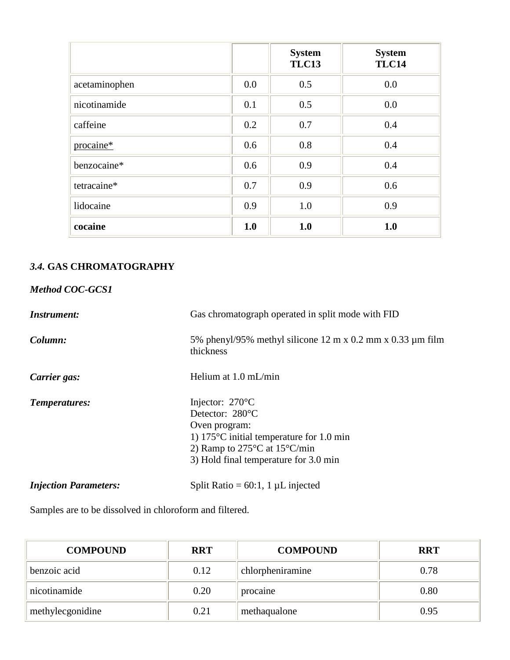|               |     | <b>System</b><br><b>TLC13</b> | <b>System</b><br><b>TLC14</b> |
|---------------|-----|-------------------------------|-------------------------------|
| acetaminophen | 0.0 | 0.5                           | 0.0                           |
| nicotinamide  | 0.1 | 0.5                           | 0.0                           |
| caffeine      | 0.2 | 0.7                           | 0.4                           |
| procaine*     | 0.6 | 0.8                           | 0.4                           |
| benzocaine*   | 0.6 | 0.9                           | 0.4                           |
| tetracaine*   | 0.7 | 0.9                           | 0.6                           |
| lidocaine     | 0.9 | 1.0                           | 0.9                           |
| cocaine       | 1.0 | 1.0                           | 1.0                           |

# *3.4.* **GAS CHROMATOGRAPHY**

## *Method COC-GCS1*

| <i>Instrument:</i>           | Gas chromatograph operated in split mode with FID                                                                                                                                                                |
|------------------------------|------------------------------------------------------------------------------------------------------------------------------------------------------------------------------------------------------------------|
| Column:                      | 5% phenyl/95% methyl silicone 12 m x 0.2 mm x 0.33 $\mu$ m film<br>thickness                                                                                                                                     |
| Carrier gas:                 | Helium at $1.0 \text{ mL/min}$                                                                                                                                                                                   |
| Temperatures:                | Injector: $270^{\circ}$ C<br>Detector: 280°C<br>Oven program:<br>1) $175^{\circ}$ C initial temperature for 1.0 min<br>2) Ramp to $275^{\circ}$ C at $15^{\circ}$ C/min<br>3) Hold final temperature for 3.0 min |
| <b>Injection Parameters:</b> | Split Ratio = $60:1$ , 1 µL injected                                                                                                                                                                             |

Samples are to be dissolved in chloroform and filtered.

| <b>COMPOUND</b>  | <b>RRT</b> | <b>COMPOUND</b>  | <b>RRT</b> |
|------------------|------------|------------------|------------|
| benzoic acid     | 0.12       | chlorpheniramine | 0.78       |
| nicotinamide     | 0.20       | procaine         | 0.80       |
| methylecgonidine | 0.21       | methaqualone     | 0.95       |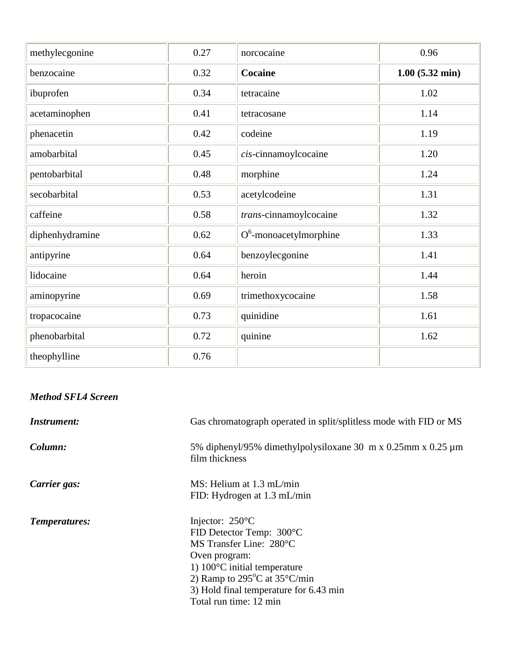| methylecgonine  | 0.27 | norcocaine                | 0.96                     |
|-----------------|------|---------------------------|--------------------------|
| benzocaine      | 0.32 | <b>Cocaine</b>            | $1.00(5.32 \text{ min})$ |
| ibuprofen       | 0.34 | tetracaine                | 1.02                     |
| acetaminophen   | 0.41 | tetracosane               | 1.14                     |
| phenacetin      | 0.42 | codeine                   | 1.19                     |
| amobarbital     | 0.45 | cis-cinnamoylcocaine      | 1.20                     |
| pentobarbital   | 0.48 | morphine                  | 1.24                     |
| secobarbital    | 0.53 | acetylcodeine             | 1.31                     |
| caffeine        | 0.58 | trans-cinnamoylcocaine    | 1.32                     |
| diphenhydramine | 0.62 | $O^6$ -monoacetylmorphine | 1.33                     |
| antipyrine      | 0.64 | benzoylecgonine           | 1.41                     |
| lidocaine       | 0.64 | heroin                    | 1.44                     |
| aminopyrine     | 0.69 | trimethoxycocaine         | 1.58                     |
| tropacocaine    | 0.73 | quinidine                 | 1.61                     |
| phenobarbital   | 0.72 | quinine                   | 1.62                     |
| theophylline    | 0.76 |                           |                          |

# *Method SFL4 Screen*

| <i>Instrument:</i> | Gas chromatograph operated in split/splitless mode with FID or MS                                                                                                                                                                                                   |
|--------------------|---------------------------------------------------------------------------------------------------------------------------------------------------------------------------------------------------------------------------------------------------------------------|
| Column:            | 5% diphenyl/95% dimethylpolysiloxane 30 m x 0.25mm x 0.25 µm<br>film thickness                                                                                                                                                                                      |
| Carrier gas:       | MS: Helium at 1.3 mL/min<br>FID: Hydrogen at 1.3 mL/min                                                                                                                                                                                                             |
| Temperatures:      | Injector: $250^{\circ}$ C<br>FID Detector Temp: 300°C<br>MS Transfer Line: 280°C<br>Oven program:<br>1) $100^{\circ}$ C initial temperature<br>2) Ramp to $295^{\circ}$ C at $35^{\circ}$ C/min<br>3) Hold final temperature for 6.43 min<br>Total run time: 12 min |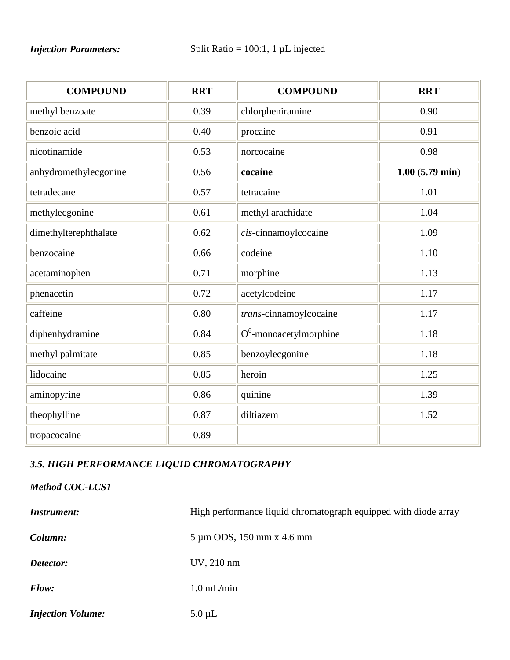# *Injection Parameters:* Split Ratio = 100:1, 1 µL injected

| <b>COMPOUND</b>       | <b>RRT</b> | <b>COMPOUND</b>           | <b>RRT</b>               |
|-----------------------|------------|---------------------------|--------------------------|
| methyl benzoate       | 0.39       | chlorpheniramine          | 0.90                     |
| benzoic acid          | 0.40       | procaine                  | 0.91                     |
| nicotinamide          | 0.53       | norcocaine                | 0.98                     |
| anhydromethylecgonine | 0.56       | cocaine                   | $1.00(5.79 \text{ min})$ |
| tetradecane           | 0.57       | tetracaine                | 1.01                     |
| methylecgonine        | 0.61       | methyl arachidate         | 1.04                     |
| dimethylterephthalate | 0.62       | cis-cinnamoylcocaine      | 1.09                     |
| benzocaine            | 0.66       | codeine                   | 1.10                     |
| acetaminophen         | 0.71       | morphine                  | 1.13                     |
| phenacetin            | 0.72       | acetylcodeine             | 1.17                     |
| caffeine              | 0.80       | trans-cinnamoylcocaine    | 1.17                     |
| diphenhydramine       | 0.84       | $O^6$ -monoacetylmorphine | 1.18                     |
| methyl palmitate      | 0.85       | benzoylecgonine           | 1.18                     |
| lidocaine             | 0.85       | heroin                    | 1.25                     |
| aminopyrine           | 0.86       | quinine                   | 1.39                     |
| theophylline          | 0.87       | diltiazem                 | 1.52                     |
| tropacocaine          | 0.89       |                           |                          |

# *3.5. HIGH PERFORMANCE LIQUID CHROMATOGRAPHY*

# *Method COC-LCS1*

| <b>Instrument:</b>       | High performance liquid chromatograph equipped with diode array |
|--------------------------|-----------------------------------------------------------------|
| Column:                  | 5 µm ODS, 150 mm x 4.6 mm                                       |
| Detector:                | $UV, 210$ nm                                                    |
| Flow:                    | $1.0$ mL/min                                                    |
| <b>Injection Volume:</b> | $5.0 \mu L$                                                     |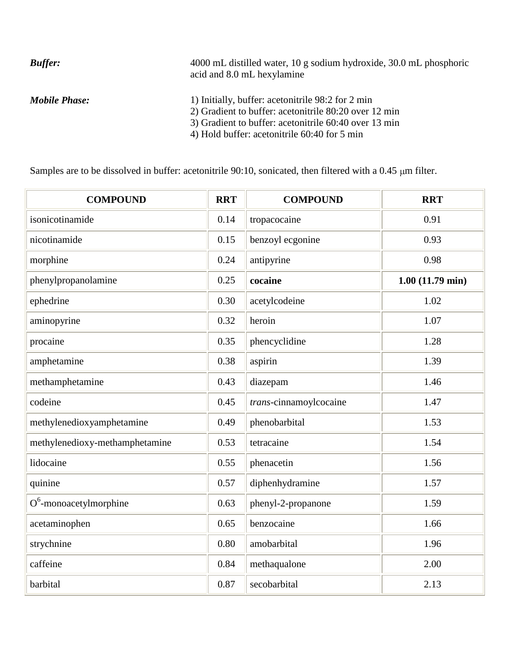| <b>Buffer:</b>       | 4000 mL distilled water, 10 g sodium hydroxide, 30.0 mL phosphoric<br>acid and 8.0 mL hexylamine                                                                                                                    |
|----------------------|---------------------------------------------------------------------------------------------------------------------------------------------------------------------------------------------------------------------|
| <b>Mobile Phase:</b> | 1) Initially, buffer: acetonitrile 98:2 for 2 min<br>2) Gradient to buffer: acetonitrile 80:20 over 12 min<br>3) Gradient to buffer: acetonitrile 60:40 over 13 min<br>4) Hold buffer: acetonitrile 60:40 for 5 min |

Samples are to be dissolved in buffer: acetonitrile 90:10, sonicated, then filtered with a 0.45  $\mu$ m filter.

| <b>COMPOUND</b>                | <b>RRT</b> | <b>COMPOUND</b>        | <b>RRT</b>                |
|--------------------------------|------------|------------------------|---------------------------|
| isonicotinamide                | 0.14       | tropacocaine           | 0.91                      |
| nicotinamide                   | 0.15       | benzoyl ecgonine       | 0.93                      |
| morphine                       | 0.24       | antipyrine             | 0.98                      |
| phenylpropanolamine            | 0.25       | cocaine                | $1.00(11.79 \text{ min})$ |
| ephedrine                      | 0.30       | acetylcodeine          | 1.02                      |
| aminopyrine                    | 0.32       | heroin                 | 1.07                      |
| procaine                       | 0.35       | phencyclidine          | 1.28                      |
| amphetamine                    | 0.38       | aspirin                | 1.39                      |
| methamphetamine                | 0.43       | diazepam               | 1.46                      |
| codeine                        | 0.45       | trans-cinnamoylcocaine | 1.47                      |
| methylenedioxyamphetamine      | 0.49       | phenobarbital          | 1.53                      |
| methylenedioxy-methamphetamine | 0.53       | tetracaine             | 1.54                      |
| lidocaine                      | 0.55       | phenacetin             | 1.56                      |
| quinine                        | 0.57       | diphenhydramine        | 1.57                      |
| $O^6$ -monoacetylmorphine      | 0.63       | phenyl-2-propanone     | 1.59                      |
| acetaminophen                  | 0.65       | benzocaine             | 1.66                      |
| strychnine                     | 0.80       | amobarbital            | 1.96                      |
| caffeine                       | 0.84       | methaqualone           | 2.00                      |
| barbital                       | 0.87       | secobarbital           | 2.13                      |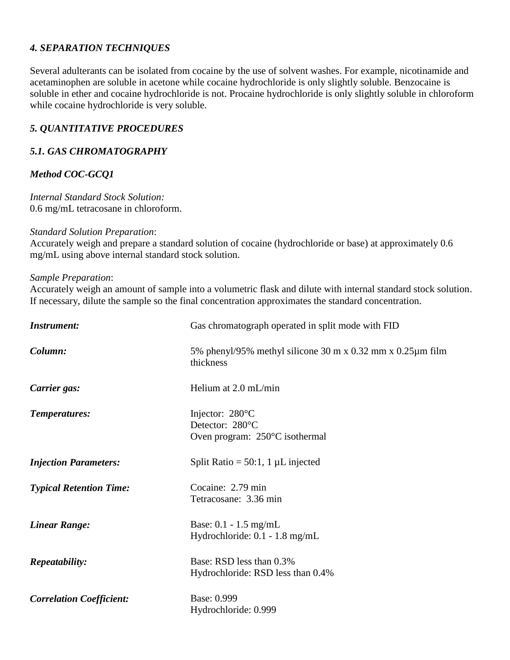## *4. SEPARATION TECHNIQUES*

Several adulterants can be isolated from cocaine by the use of solvent washes. For example, nicotinamide and acetaminophen are soluble in acetone while cocaine hydrochloride is only slightly soluble. Benzocaine is soluble in ether and cocaine hydrochloride is not. Procaine hydrochloride is only slightly soluble in chloroform while cocaine hydrochloride is very soluble.

## *5. QUANTITATIVE PROCEDURES*

## *5.1. GAS CHROMATOGRAPHY*

## *Method COC-GCQ1*

*Internal Standard Stock Solution:* 0.6 mg/mL tetracosane in chloroform.

#### *Standard Solution Preparation*:

Accurately weigh and prepare a standard solution of cocaine (hydrochloride or base) at approximately 0.6 mg/mL using above internal standard stock solution.

#### *Sample Preparation*:

Accurately weigh an amount of sample into a volumetric flask and dilute with internal standard stock solution. If necessary, dilute the sample so the final concentration approximates the standard concentration.

| <i>Instrument:</i>              | Gas chromatograph operated in split mode with FID                              |  |
|---------------------------------|--------------------------------------------------------------------------------|--|
| Column:                         | 5% phenyl/95% methyl silicone 30 m x 0.32 mm x 0.25 $\mu$ m film<br>thickness  |  |
| Carrier gas:                    | Helium at 2.0 mL/min                                                           |  |
| Temperatures:                   | Injector: 280°C<br>Detector: 280°C<br>Oven program: $250^{\circ}$ C isothermal |  |
| <b>Injection Parameters:</b>    | Split Ratio = $50:1$ , 1 µL injected                                           |  |
| <b>Typical Retention Time:</b>  | Cocaine: 2.79 min<br>Tetracosane: 3.36 min                                     |  |
| <b>Linear Range:</b>            | Base: $0.1 - 1.5$ mg/mL<br>Hydrochloride: 0.1 - 1.8 mg/mL                      |  |
| <i>Repeatability:</i>           | Base: RSD less than 0.3%<br>Hydrochloride: RSD less than 0.4%                  |  |
| <b>Correlation Coefficient:</b> | Base: 0.999<br>Hydrochloride: 0.999                                            |  |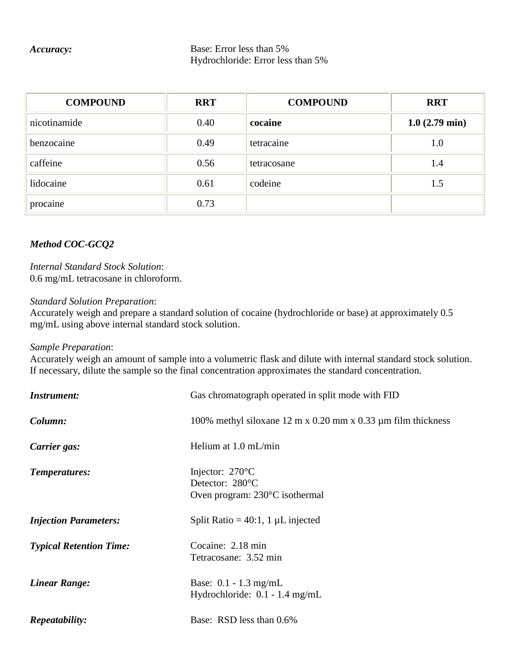#### *Accuracy:* Base: Error less than 5% Hydrochloride: Error less than 5%

| <b>COMPOUND</b> | <b>RRT</b> | <b>COMPOUND</b> | <b>RRT</b>              |
|-----------------|------------|-----------------|-------------------------|
| nicotinamide    | 0.40       | cocaine         | $1.0(2.79 \text{ min})$ |
| benzocaine      | 0.49       | tetracaine      | 1.0                     |
| caffeine        | 0.56       | tetracosane     | 1.4                     |
| lidocaine       | 0.61       | codeine         | 1.5                     |
| procaine        | 0.73       |                 |                         |

# *Method COC-GCQ2*

*Internal Standard Stock Solution*: 0.6 mg/mL tetracosane in chloroform.

#### *Standard Solution Preparation*:

Accurately weigh and prepare a standard solution of cocaine (hydrochloride or base) at approximately 0.5 mg/mL using above internal standard stock solution.

#### *Sample Preparation*:

Accurately weigh an amount of sample into a volumetric flask and dilute with internal standard stock solution. If necessary, dilute the sample so the final concentration approximates the standard concentration.

| <i>Instrument:</i>             | Gas chromatograph operated in split mode with FID                                        |  |
|--------------------------------|------------------------------------------------------------------------------------------|--|
| Column:                        | 100% methyl siloxane 12 m x 0.20 mm x 0.33 $\mu$ m film thickness                        |  |
| Carrier gas:                   | Helium at $1.0$ mL/min                                                                   |  |
| Temperatures:                  | Injector: $270^{\circ}$ C<br>Detector: 280°C<br>Oven program: $230^{\circ}$ C isothermal |  |
| <b>Injection Parameters:</b>   | Split Ratio = $40:1$ , 1 µL injected                                                     |  |
| <b>Typical Retention Time:</b> | Cocaine: 2.18 min<br>Tetracosane: 3.52 min                                               |  |
| <b>Linear Range:</b>           | Base: $0.1 - 1.3$ mg/mL<br>Hydrochloride: $0.1 - 1.4$ mg/mL                              |  |
| <i>Repeatability:</i>          | Base: RSD less than 0.6%                                                                 |  |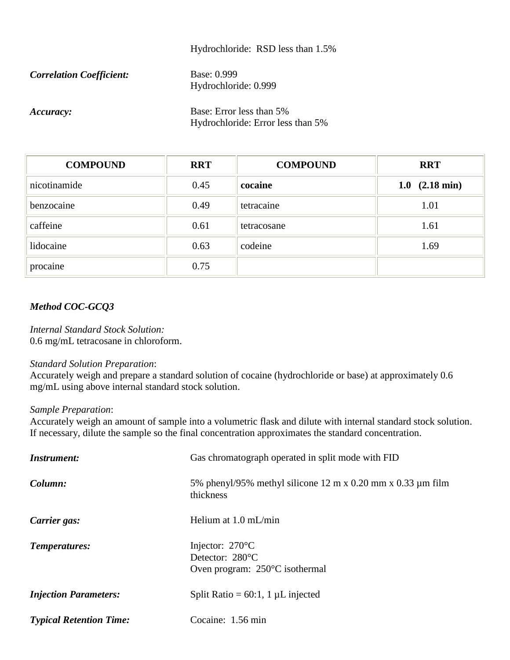#### Hydrochloride: RSD less than 1.5%

| <b>Correlation Coefficient:</b> | Base: 0.999          |  |
|---------------------------------|----------------------|--|
|                                 | Hydrochloride: 0.999 |  |

*Accuracy:* Base: Error less than 5% Hydrochloride: Error less than 5%

| <b>COMPOUND</b> | <b>RRT</b> | <b>COMPOUND</b> | <b>RRT</b>                  |
|-----------------|------------|-----------------|-----------------------------|
| nicotinamide    | 0.45       | cocaine         | $(2.18 \text{ min})$<br>1.0 |
| benzocaine      | 0.49       | tetracaine      | 1.01                        |
| caffeine        | 0.61       | tetracosane     | 1.61                        |
| lidocaine       | 0.63       | codeine         | 1.69                        |
| procaine        | 0.75       |                 |                             |

## *Method COC-GCQ3*

*Internal Standard Stock Solution:* 0.6 mg/mL tetracosane in chloroform.

#### *Standard Solution Preparation*:

Accurately weigh and prepare a standard solution of cocaine (hydrochloride or base) at approximately 0.6 mg/mL using above internal standard stock solution.

#### *Sample Preparation*:

Accurately weigh an amount of sample into a volumetric flask and dilute with internal standard stock solution. If necessary, dilute the sample so the final concentration approximates the standard concentration.

| <i>Instrument:</i>             | Gas chromatograph operated in split mode with FID                                        |  |  |
|--------------------------------|------------------------------------------------------------------------------------------|--|--|
| Column:                        | 5% phenyl/95% methyl silicone 12 m x 0.20 mm x 0.33 $\mu$ m film<br>thickness            |  |  |
| Carrier gas:                   | Helium at $1.0 \text{ mL/min}$                                                           |  |  |
| Temperatures:                  | Injector: $270^{\circ}$ C<br>Detector: 280°C<br>Oven program: $250^{\circ}$ C isothermal |  |  |
| <b>Injection Parameters:</b>   | Split Ratio = $60:1$ , 1 µL injected                                                     |  |  |
| <b>Typical Retention Time:</b> | Cocaine: 1.56 min                                                                        |  |  |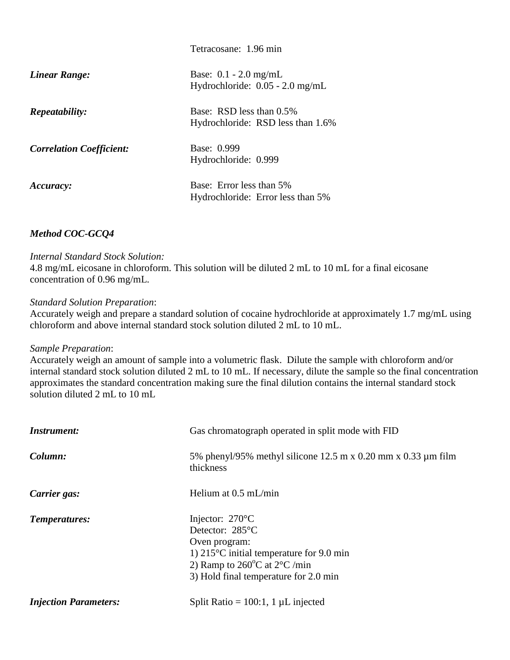|                                 | Tetracosane: 1.96 min                                         |
|---------------------------------|---------------------------------------------------------------|
| <b>Linear Range:</b>            | Base: $0.1 - 2.0$ mg/mL<br>Hydrochloride: $0.05 - 2.0$ mg/mL  |
| <i>Repeatability:</i>           | Base: RSD less than 0.5%<br>Hydrochloride: RSD less than 1.6% |
| <b>Correlation Coefficient:</b> | Base: 0.999<br>Hydrochloride: 0.999                           |
| Accuracy:                       | Base: Error less than 5%<br>Hydrochloride: Error less than 5% |

## *Method COC-GCQ4*

#### *Internal Standard Stock Solution:*

4.8 mg/mL eicosane in chloroform. This solution will be diluted 2 mL to 10 mL for a final eicosane concentration of 0.96 mg/mL.

#### *Standard Solution Preparation*:

Accurately weigh and prepare a standard solution of cocaine hydrochloride at approximately 1.7 mg/mL using chloroform and above internal standard stock solution diluted 2 mL to 10 mL.

#### *Sample Preparation*:

Accurately weigh an amount of sample into a volumetric flask. Dilute the sample with chloroform and/or internal standard stock solution diluted 2 mL to 10 mL. If necessary, dilute the sample so the final concentration approximates the standard concentration making sure the final dilution contains the internal standard stock solution diluted 2 mL to 10 mL

| <i>Instrument:</i>           | Gas chromatograph operated in split mode with FID                                                                                                                                                                |  |  |
|------------------------------|------------------------------------------------------------------------------------------------------------------------------------------------------------------------------------------------------------------|--|--|
| Column:                      | 5% phenyl/95% methyl silicone 12.5 m x 0.20 mm x 0.33 $\mu$ m film<br>thickness                                                                                                                                  |  |  |
| Carrier gas:                 | Helium at $0.5$ mL/min                                                                                                                                                                                           |  |  |
| Temperatures:                | Injector: $270^{\circ}$ C<br>Detector: 285°C<br>Oven program:<br>1) $215^{\circ}$ C initial temperature for 9.0 min<br>2) Ramp to $260^{\circ}$ C at $2^{\circ}$ C /min<br>3) Hold final temperature for 2.0 min |  |  |
| <b>Injection Parameters:</b> | Split Ratio = $100:1$ , 1 µL injected                                                                                                                                                                            |  |  |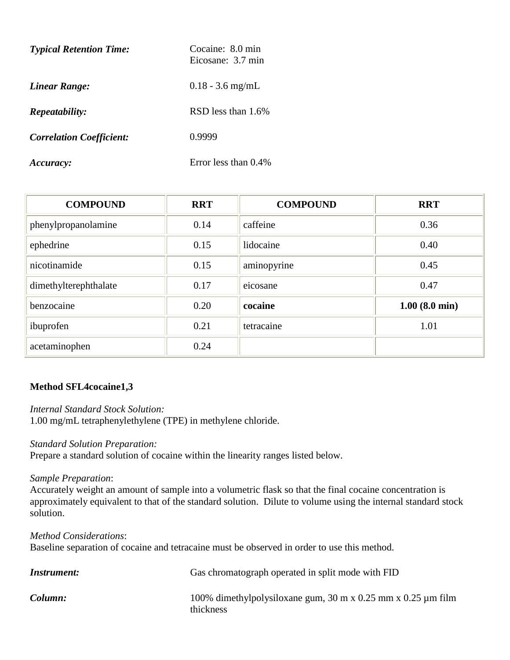| <b>Typical Retention Time:</b>  | Cocaine: 8.0 min<br>Eicosane: 3.7 min |  |
|---------------------------------|---------------------------------------|--|
| Linear Range:                   | $0.18 - 3.6$ mg/mL                    |  |
| <i>Repeatability:</i>           | RSD less than 1.6%                    |  |
| <b>Correlation Coefficient:</b> | 0.9999                                |  |
| Accuracy:                       | Error less than 0.4%                  |  |

| <b>COMPOUND</b>       | <b>RRT</b> | <b>COMPOUND</b> | <b>RRT</b>              |
|-----------------------|------------|-----------------|-------------------------|
| phenylpropanolamine   | 0.14       | caffeine        | 0.36                    |
| ephedrine             | 0.15       | lidocaine       | 0.40                    |
| nicotinamide          | 0.15       | aminopyrine     | 0.45                    |
| dimethylterephthalate | 0.17       | eicosane        | 0.47                    |
| benzocaine            | 0.20       | cocaine         | $1.00(8.0 \text{ min})$ |
| ibuprofen             | 0.21       | tetracaine      | 1.01                    |
| acetaminophen         | 0.24       |                 |                         |

## **Method SFL4cocaine1,3**

*Internal Standard Stock Solution:*  1.00 mg/mL tetraphenylethylene (TPE) in methylene chloride.

#### *Standard Solution Preparation:*

Prepare a standard solution of cocaine within the linearity ranges listed below.

*Sample Preparation*:

Accurately weight an amount of sample into a volumetric flask so that the final cocaine concentration is approximately equivalent to that of the standard solution. Dilute to volume using the internal standard stock solution.

*Method Considerations*: Baseline separation of cocaine and tetracaine must be observed in order to use this method.

| Instrument: | Gas chromatograph operated in split mode with FID                              |
|-------------|--------------------------------------------------------------------------------|
| Column:     | 100% dimethylpolysiloxane gum, 30 m x 0.25 mm x 0.25 $\mu$ m film<br>thickness |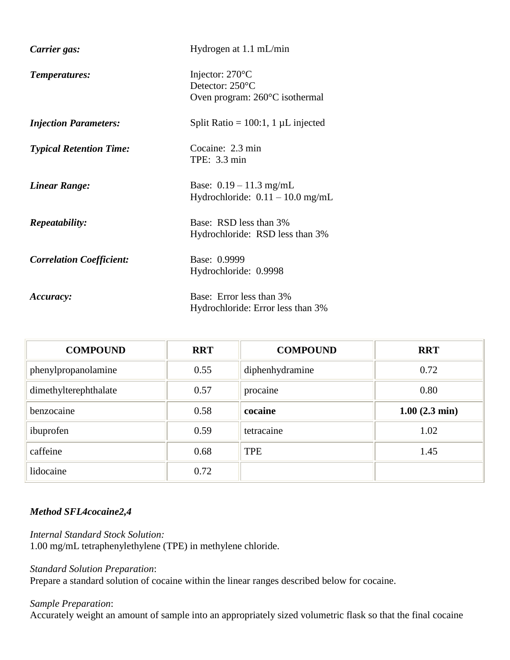| Carrier gas:                    | Hydrogen at 1.1 mL/min                                                                   |
|---------------------------------|------------------------------------------------------------------------------------------|
| Temperatures:                   | Injector: $270^{\circ}$ C<br>Detector: 250°C<br>Oven program: $260^{\circ}$ C isothermal |
| <b>Injection Parameters:</b>    | Split Ratio = $100:1$ , 1 µL injected                                                    |
| <b>Typical Retention Time:</b>  | Cocaine: 2.3 min<br>TPE: 3.3 min                                                         |
| <b>Linear Range:</b>            | Base: $0.19 - 11.3$ mg/mL<br>Hydrochloride: $0.11 - 10.0$ mg/mL                          |
| <i>Repeatability:</i>           | Base: RSD less than 3%<br>Hydrochloride: RSD less than 3%                                |
| <b>Correlation Coefficient:</b> | Base: 0.9999<br>Hydrochloride: 0.9998                                                    |
| Accuracy:                       | Base: Error less than 3%<br>Hydrochloride: Error less than 3%                            |

| <b>COMPOUND</b>       | <b>RRT</b> | <b>COMPOUND</b> | <b>RRT</b>              |
|-----------------------|------------|-----------------|-------------------------|
| phenylpropanolamine   | 0.55       | diphenhydramine | 0.72                    |
| dimethylterephthalate | 0.57       | procaine        | 0.80                    |
| benzocaine            | 0.58       | cocaine         | $1.00(2.3 \text{ min})$ |
| ibuprofen             | 0.59       | tetracaine      | 1.02                    |
| caffeine              | 0.68       | <b>TPE</b>      | 1.45                    |
| lidocaine             | 0.72       |                 |                         |

### *Method SFL4cocaine2,4*

*Internal Standard Stock Solution:*  1.00 mg/mL tetraphenylethylene (TPE) in methylene chloride.

## *Standard Solution Preparation*:

Prepare a standard solution of cocaine within the linear ranges described below for cocaine.

#### *Sample Preparation*:

Accurately weight an amount of sample into an appropriately sized volumetric flask so that the final cocaine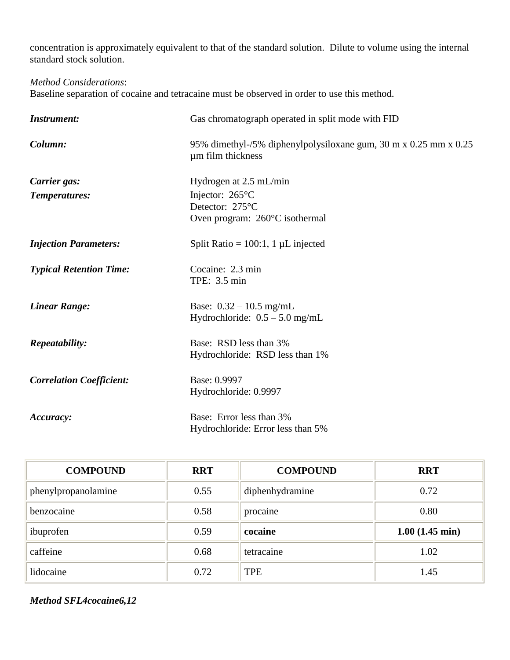concentration is approximately equivalent to that of the standard solution. Dilute to volume using the internal standard stock solution.

*Method Considerations*:

Baseline separation of cocaine and tetracaine must be observed in order to use this method.

| <b>Instrument:</b>              | Gas chromatograph operated in split mode with FID                                     |
|---------------------------------|---------------------------------------------------------------------------------------|
| Column:                         | 95% dimethyl-/5% diphenylpolysiloxane gum, 30 m x 0.25 mm x 0.25<br>um film thickness |
| Carrier gas:                    | Hydrogen at 2.5 mL/min                                                                |
| Temperatures:                   | Injector: 265°C                                                                       |
|                                 | Detector: 275°C                                                                       |
|                                 | Oven program: 260°C isothermal                                                        |
| <b>Injection Parameters:</b>    | Split Ratio = $100:1$ , 1 µL injected                                                 |
| <b>Typical Retention Time:</b>  | Cocaine: 2.3 min                                                                      |
|                                 | TPE: 3.5 min                                                                          |
| <b>Linear Range:</b>            | Base: $0.32 - 10.5$ mg/mL                                                             |
|                                 | Hydrochloride: $0.5 - 5.0$ mg/mL                                                      |
|                                 | Base: RSD less than 3%                                                                |
| Repeatability:                  | Hydrochloride: RSD less than 1%                                                       |
|                                 |                                                                                       |
| <b>Correlation Coefficient:</b> | Base: 0.9997                                                                          |
|                                 | Hydrochloride: 0.9997                                                                 |
| Accuracy:                       | Base: Error less than 3%                                                              |
|                                 | Hydrochloride: Error less than 5%                                                     |

| <b>COMPOUND</b>     | <b>RRT</b> | <b>COMPOUND</b> | <b>RRT</b>               |
|---------------------|------------|-----------------|--------------------------|
| phenylpropanolamine | 0.55       | diphenhydramine | 0.72                     |
| benzocaine          | 0.58       | procaine        | 0.80                     |
| ibuprofen           | 0.59       | cocaine         | $1.00(1.45 \text{ min})$ |
| caffeine            | 0.68       | tetracaine      | 1.02                     |
| lidocaine           | 0.72       | <b>TPE</b>      | 1.45                     |

*Method SFL4cocaine6,12*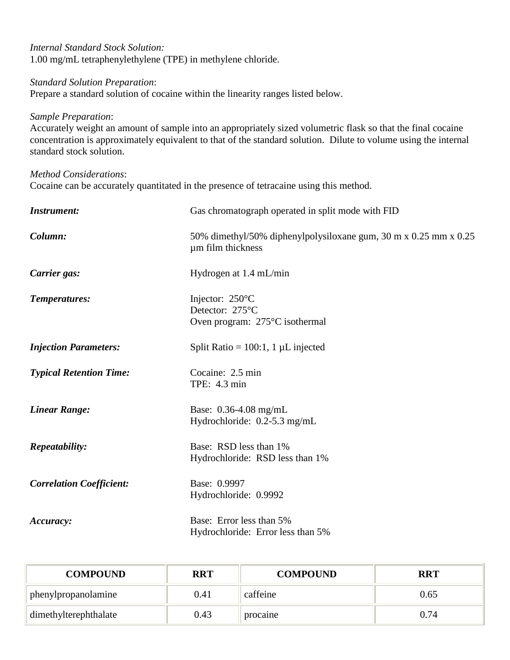| Internal Standard Stock Solution:                           |
|-------------------------------------------------------------|
| 1.00 mg/mL tetraphenylethylene (TPE) in methylene chloride. |

#### *Standard Solution Preparation*:

Prepare a standard solution of cocaine within the linearity ranges listed below.

#### *Sample Preparation*:

Accurately weight an amount of sample into an appropriately sized volumetric flask so that the final cocaine concentration is approximately equivalent to that of the standard solution. Dilute to volume using the internal standard stock solution.

#### *Method Considerations*:

Cocaine can be accurately quantitated in the presence of tetracaine using this method.

| <b>Instrument:</b>              | Gas chromatograph operated in split mode with FID                                     |
|---------------------------------|---------------------------------------------------------------------------------------|
| Column:                         | 50% dimethyl/50% diphenylpolysiloxane gum, 30 m x 0.25 mm x 0.25<br>um film thickness |
| Carrier gas:                    | Hydrogen at 1.4 mL/min                                                                |
| Temperatures:                   | Injector: 250°C<br>Detector: 275°C<br>Oven program: 275°C isothermal                  |
| <b>Injection Parameters:</b>    | Split Ratio = $100:1$ , 1 µL injected                                                 |
| <b>Typical Retention Time:</b>  | Cocaine: 2.5 min<br>TPE: 4.3 min                                                      |
| <b>Linear Range:</b>            | Base: 0.36-4.08 mg/mL<br>Hydrochloride: $0.2$ -5.3 mg/mL                              |
| Repeatability:                  | Base: RSD less than 1%<br>Hydrochloride: RSD less than 1%                             |
| <b>Correlation Coefficient:</b> | Base: 0.9997<br>Hydrochloride: 0.9992                                                 |
| Accuracy:                       | Base: Error less than 5%<br>Hydrochloride: Error less than 5%                         |

| <b>COMPOUND</b>       | <b>RRT</b> | <b>COMPOUND</b> | <b>RRT</b> |
|-----------------------|------------|-----------------|------------|
| phenylpropanolamine   | 0.41       | caffeine        | 0.65       |
| dimethylterephthalate | 0.43       | procaine        | 0.74       |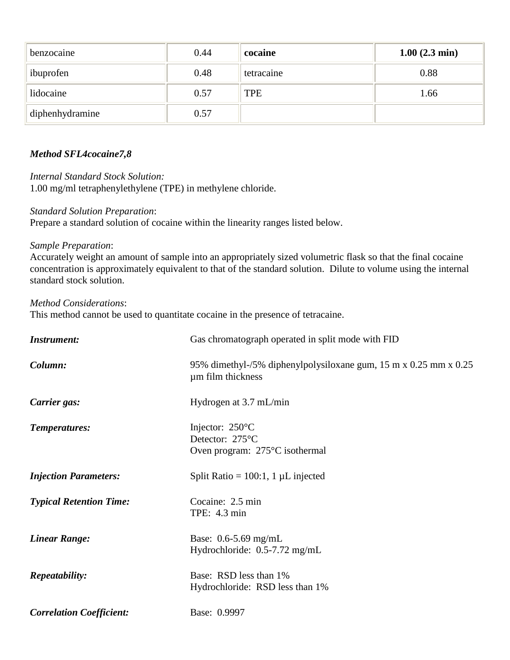| benzocaine      | 0.44 | cocaine    | $1.00(2.3 \text{ min})$ |
|-----------------|------|------------|-------------------------|
| ibuprofen       | 0.48 | tetracaine | 0.88                    |
| lidocaine       | 0.57 | TPE        | 1.66                    |
| diphenhydramine | 0.57 |            |                         |

## *Method SFL4cocaine7,8*

*Internal Standard Stock Solution:*  1.00 mg/ml tetraphenylethylene (TPE) in methylene chloride.

#### *Standard Solution Preparation*:

Prepare a standard solution of cocaine within the linearity ranges listed below.

### *Sample Preparation*:

Accurately weight an amount of sample into an appropriately sized volumetric flask so that the final cocaine concentration is approximately equivalent to that of the standard solution. Dilute to volume using the internal standard stock solution.

*Method Considerations*:

This method cannot be used to quantitate cocaine in the presence of tetracaine.

| <b>Instrument:</b>              | Gas chromatograph operated in split mode with FID                                        |
|---------------------------------|------------------------------------------------------------------------------------------|
| Column:                         | 95% dimethyl-/5% diphenylpolysiloxane gum, 15 m x 0.25 mm x 0.25<br>um film thickness    |
| Carrier gas:                    | Hydrogen at 3.7 mL/min                                                                   |
| Temperatures:                   | Injector: $250^{\circ}$ C<br>Detector: 275°C<br>Oven program: $275^{\circ}$ C isothermal |
| <b>Injection Parameters:</b>    | Split Ratio = $100:1$ , 1 µL injected                                                    |
| <b>Typical Retention Time:</b>  | Cocaine: 2.5 min<br>TPE: 4.3 min                                                         |
| <b>Linear Range:</b>            | Base: $0.6 - 5.69$ mg/mL<br>Hydrochloride: 0.5-7.72 mg/mL                                |
| Repeatability:                  | Base: RSD less than 1%<br>Hydrochloride: RSD less than 1%                                |
| <b>Correlation Coefficient:</b> | Base: 0.9997                                                                             |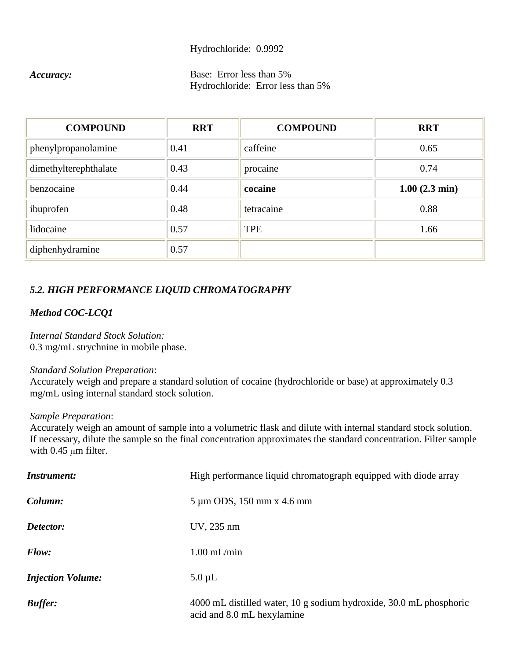#### Hydrochloride: 0.9992

## *Accuracy:* Base: Error less than 5% Hydrochloride: Error less than 5%

| <b>COMPOUND</b>       | <b>RRT</b> | <b>COMPOUND</b> | <b>RRT</b>              |
|-----------------------|------------|-----------------|-------------------------|
| phenylpropanolamine   | 0.41       | caffeine        | 0.65                    |
| dimethylterephthalate | 0.43       | procaine        | 0.74                    |
| benzocaine            | 0.44       | cocaine         | $1.00(2.3 \text{ min})$ |
| ibuprofen             | 0.48       | tetracaine      | 0.88                    |
| lidocaine             | 0.57       | <b>TPE</b>      | 1.66                    |
| diphenhydramine       | 0.57       |                 |                         |

## *5.2. HIGH PERFORMANCE LIQUID CHROMATOGRAPHY*

## *Method COC-LCQ1*

*Internal Standard Stock Solution:* 0.3 mg/mL strychnine in mobile phase.

#### *Standard Solution Preparation*:

Accurately weigh and prepare a standard solution of cocaine (hydrochloride or base) at approximately 0.3 mg/mL using internal standard stock solution.

#### *Sample Preparation*:

Accurately weigh an amount of sample into a volumetric flask and dilute with internal standard stock solution. If necessary, dilute the sample so the final concentration approximates the standard concentration. Filter sample with  $0.45 \mu m$  filter.

| <b>Instrument:</b>       | High performance liquid chromatograph equipped with diode array                                  |  |
|--------------------------|--------------------------------------------------------------------------------------------------|--|
| Column:                  | 5 µm ODS, 150 mm x 4.6 mm                                                                        |  |
| Detector:                | UV, 235 nm                                                                                       |  |
| Flow:                    | $1.00$ mL/min                                                                                    |  |
| <b>Injection Volume:</b> | $5.0 \mu L$                                                                                      |  |
| <b>Buffer:</b>           | 4000 mL distilled water, 10 g sodium hydroxide, 30.0 mL phosphoric<br>acid and 8.0 mL hexylamine |  |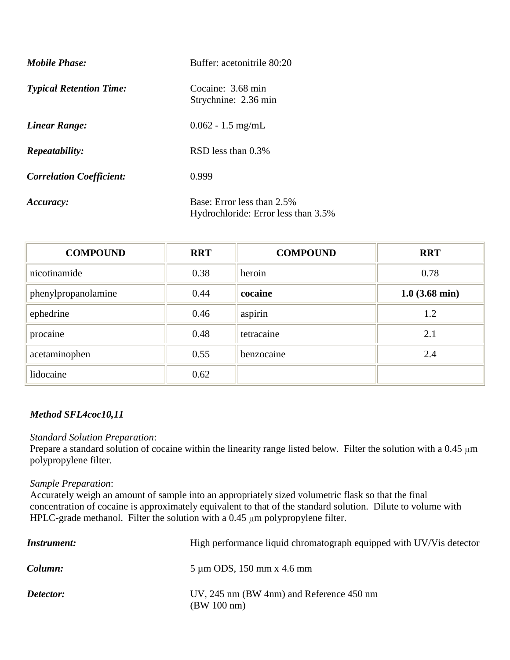| <b>Mobile Phase:</b>            | Buffer: acetonitrile 80:20                                        |
|---------------------------------|-------------------------------------------------------------------|
| <b>Typical Retention Time:</b>  | Cocaine: 3.68 min<br>Strychnine: 2.36 min                         |
| <b>Linear Range:</b>            | $0.062 - 1.5$ mg/mL                                               |
| Repeatability:                  | RSD less than 0.3%                                                |
| <b>Correlation Coefficient:</b> | 0.999                                                             |
| Accuracy:                       | Base: Error less than 2.5%<br>Hydrochloride: Error less than 3.5% |

| <b>COMPOUND</b>     | <b>RRT</b> | <b>COMPOUND</b> | <b>RRT</b>       |
|---------------------|------------|-----------------|------------------|
| nicotinamide        | 0.38       | heroin          | 0.78             |
| phenylpropanolamine | 0.44       | cocaine         | $1.0$ (3.68 min) |
| ephedrine           | 0.46       | aspirin         | 1.2              |
| procaine            | 0.48       | tetracaine      | 2.1              |
| acetaminophen       | 0.55       | benzocaine      | 2.4              |
| lidocaine           | 0.62       |                 |                  |

## *Method SFL4coc10,11*

### *Standard Solution Preparation*:

Prepare a standard solution of cocaine within the linearity range listed below. Filter the solution with a  $0.45 \mu m$ polypropylene filter.

# *Sample Preparation*:

Accurately weigh an amount of sample into an appropriately sized volumetric flask so that the final concentration of cocaine is approximately equivalent to that of the standard solution. Dilute to volume with HPLC-grade methanol. Filter the solution with a  $0.45 \mu m$  polypropylene filter.

| <i>Instrument:</i> | High performance liquid chromatograph equipped with UV/Vis detector |
|--------------------|---------------------------------------------------------------------|
| Column:            | $5 \mu m$ ODS, 150 mm x 4.6 mm                                      |
| Detector:          | UV, 245 nm (BW 4nm) and Reference 450 nm<br>(BW 100 nm)             |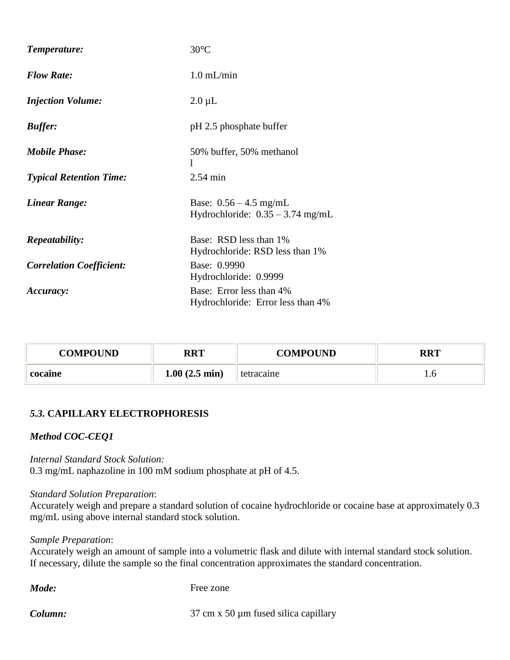| Temperature:                    | $30^{\circ}$ C                                                 |
|---------------------------------|----------------------------------------------------------------|
| <b>Flow Rate:</b>               | $1.0$ mL/min                                                   |
| <b>Injection Volume:</b>        | $2.0 \mu L$                                                    |
| <b>Buffer:</b>                  | pH 2.5 phosphate buffer                                        |
| <b>Mobile Phase:</b>            | 50% buffer, 50% methanol<br>1                                  |
| <b>Typical Retention Time:</b>  | $2.54 \text{ min}$                                             |
| <b>Linear Range:</b>            | Base: $0.56 - 4.5$ mg/mL<br>Hydrochloride: $0.35 - 3.74$ mg/mL |
| <b>Repeatability:</b>           | Base: RSD less than 1%<br>Hydrochloride: RSD less than 1%      |
| <b>Correlation Coefficient:</b> | Base: 0.9990<br>Hydrochloride: 0.9999                          |
| Accuracy:                       | Base: Error less than 4%<br>Hydrochloride: Error less than 4%  |

| COMPOUND | <b>RRT</b>              | <b>COMPOUND</b> | DDT |
|----------|-------------------------|-----------------|-----|
| cocaine  | $1.00(2.5 \text{ min})$ | tetracaine      | 1.0 |

### *5.3.* **CAPILLARY ELECTROPHORESIS**

## *Method COC-CEQ1*

*Internal Standard Stock Solution:* 0.3 mg/mL naphazoline in 100 mM sodium phosphate at pH of 4.5.

#### *Standard Solution Preparation*:

Accurately weigh and prepare a standard solution of cocaine hydrochloride or cocaine base at approximately 0.3 mg/mL using above internal standard stock solution.

#### *Sample Preparation*:

Accurately weigh an amount of sample into a volumetric flask and dilute with internal standard stock solution. If necessary, dilute the sample so the final concentration approximates the standard concentration.

*Mode:* Free zone

**Column:** 37 cm x 50 µm fused silica capillary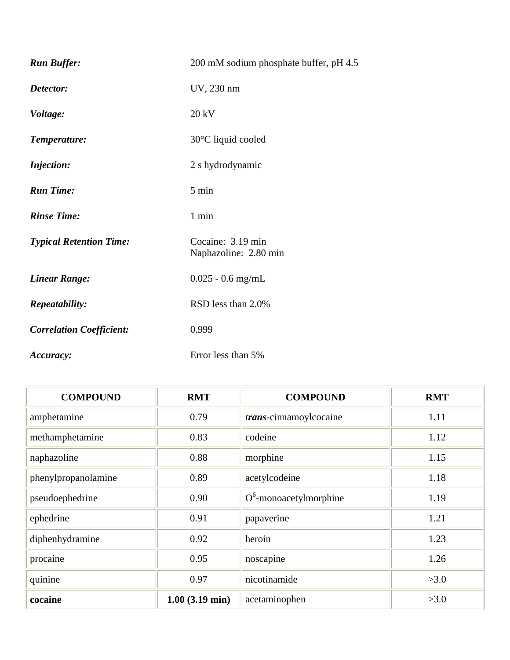| <b>Run Buffer:</b>              | 200 mM sodium phosphate buffer, pH 4.5     |  |
|---------------------------------|--------------------------------------------|--|
| Detector:                       | UV, 230 nm                                 |  |
| Voltage:                        | 20 kV                                      |  |
| Temperature:                    | 30°C liquid cooled                         |  |
| <b>Injection:</b>               | 2 s hydrodynamic                           |  |
| <b>Run Time:</b>                | 5 min                                      |  |
| <b>Rinse Time:</b>              | 1 min                                      |  |
| <b>Typical Retention Time:</b>  | Cocaine: 3.19 min<br>Naphazoline: 2.80 min |  |
| <b>Linear Range:</b>            | $0.025 - 0.6$ mg/mL                        |  |
| Repeatability:                  | RSD less than 2.0%                         |  |
| <b>Correlation Coefficient:</b> | 0.999                                      |  |
| Accuracy:                       | Error less than 5%                         |  |

| <b>COMPOUND</b>     | <b>RMT</b>                  | <b>COMPOUND</b>           | <b>RMT</b> |
|---------------------|-----------------------------|---------------------------|------------|
| amphetamine         | 0.79                        | trans-cinnamoylcocaine    | 1.11       |
| methamphetamine     | 0.83                        | codeine                   | 1.12       |
| naphazoline         | 0.88                        | morphine                  | 1.15       |
| phenylpropanolamine | 0.89                        | acetylcodeine             | 1.18       |
| pseudoephedrine     | 0.90                        | $O^6$ -monoacetylmorphine | 1.19       |
| ephedrine           | 0.91                        | papaverine                | 1.21       |
| diphenhydramine     | 0.92                        | heroin                    | 1.23       |
| procaine            | 0.95                        | noscapine                 | 1.26       |
| quinine             | 0.97                        | nicotinamide              | >3.0       |
| cocaine             | $1.00$ $(3.19 \text{ min})$ | acetaminophen             | >3.0       |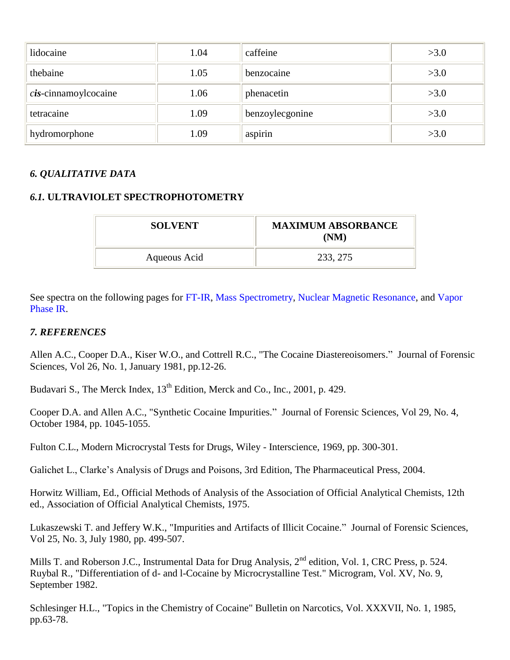| lidocaine                              | 1.04 | caffeine        | >3.0 |
|----------------------------------------|------|-----------------|------|
| thebaine                               | 1.05 | benzocaine      | >3.0 |
| $\operatorname{cis}$ -cinnamoylcocaine | 1.06 | phenacetin      | >3.0 |
| tetracaine                             | 1.09 | benzoylecgonine | >3.0 |
| hydromorphone                          | 1.09 | aspirin         | >3.0 |

# *6. QUALITATIVE DATA*

## *6.1.* **ULTRAVIOLET SPECTROPHOTOMETRY**

| <b>SOLVENT</b> | <b>MAXIMUM ABSORBANCE</b><br>(NM) |
|----------------|-----------------------------------|
| Aqueous Acid   | 233, 275                          |

See spectra on the following pages for [FT-IR,](#page-21-0) Mass Spectrometry, [Nuclear Magnetic Resonance,](#page-23-0) and [Vapor](#page-23-1)  [Phase IR.](#page-23-1)

### *7. REFERENCES*

Allen A.C., Cooper D.A., Kiser W.O., and Cottrell R.C., "The Cocaine Diastereoisomers." Journal of Forensic Sciences, Vol 26, No. 1, January 1981, pp.12-26.

Budavari S., The Merck Index,  $13<sup>th</sup>$  Edition, Merck and Co., Inc., 2001, p. 429.

Cooper D.A. and Allen A.C., "Synthetic Cocaine Impurities." Journal of Forensic Sciences, Vol 29, No. 4, October 1984, pp. 1045-1055.

Fulton C.L., Modern Microcrystal Tests for Drugs, Wiley - Interscience, 1969, pp. 300-301.

Galichet L., Clarke's Analysis of Drugs and Poisons, 3rd Edition, The Pharmaceutical Press, 2004.

Horwitz William, Ed., Official Methods of Analysis of the Association of Official Analytical Chemists, 12th ed., Association of Official Analytical Chemists, 1975.

Lukaszewski T. and Jeffery W.K., "Impurities and Artifacts of Illicit Cocaine." Journal of Forensic Sciences, Vol 25, No. 3, July 1980, pp. 499-507.

Mills T. and Roberson J.C., Instrumental Data for Drug Analysis, 2<sup>nd</sup> edition, Vol. 1, CRC Press, p. 524. Ruybal R., "Differentiation of d- and l-Cocaine by Microcrystalline Test." Microgram, Vol. XV, No. 9, September 1982.

Schlesinger H.L., "Topics in the Chemistry of Cocaine" Bulletin on Narcotics, Vol. XXXVII, No. 1, 1985, pp.63-78.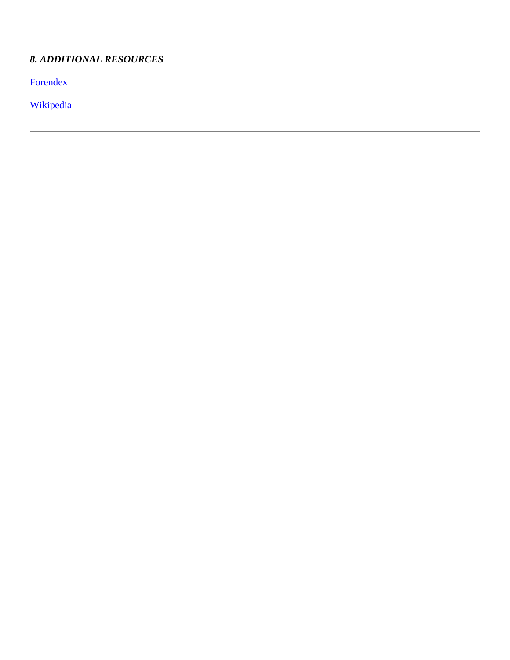# *8. ADDITIONAL RESOURCES*

**[Forendex](http://forendex.southernforensic.org/index.php/detail/index/92)** 

[Wikipedia](http://en.wikipedia.org/wiki/Cocaine)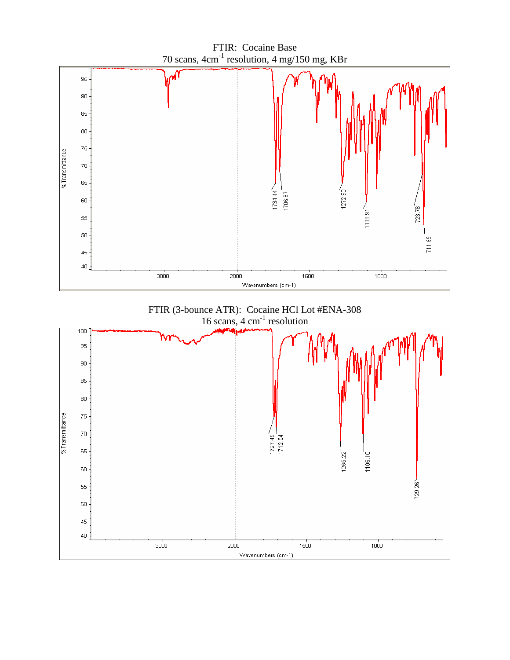<span id="page-21-0"></span>

FTIR (3-bounce ATR): Cocaine HCl Lot #ENA-308 16 scans, 4 cm<sup>-1</sup> resolution

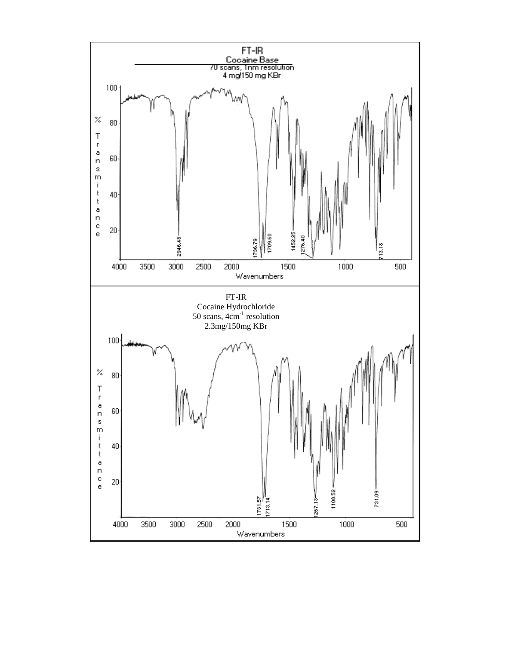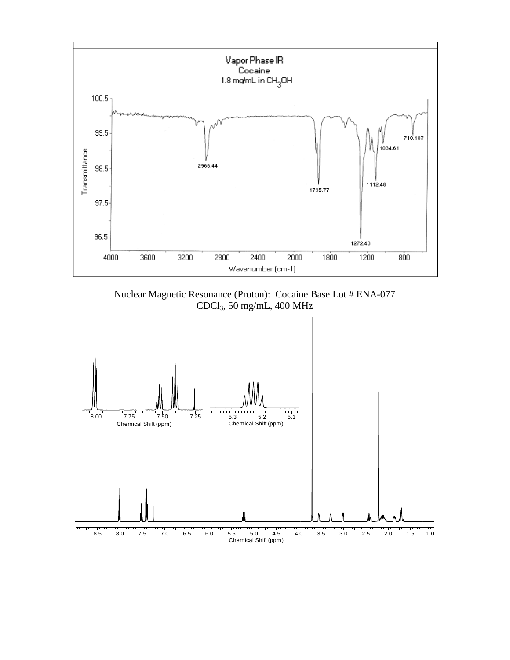<span id="page-23-1"></span>

Nuclear Magnetic Resonance (Proton): Cocaine Base Lot # ENA-077 CDCl3, 50 mg/mL, 400 MHz

<span id="page-23-0"></span>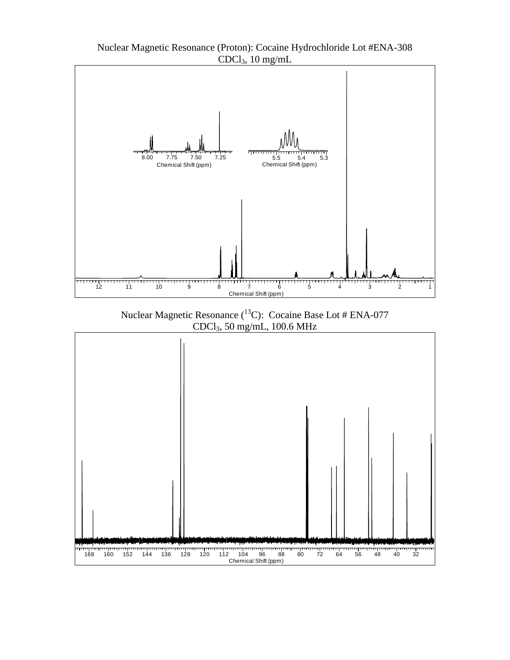

Nuclear Magnetic Resonance (<sup>13</sup>C): Cocaine Base Lot # ENA-077 CDCl3, 50 mg/mL, 100.6 MHz



Nuclear Magnetic Resonance (Proton): Cocaine Hydrochloride Lot #ENA-308